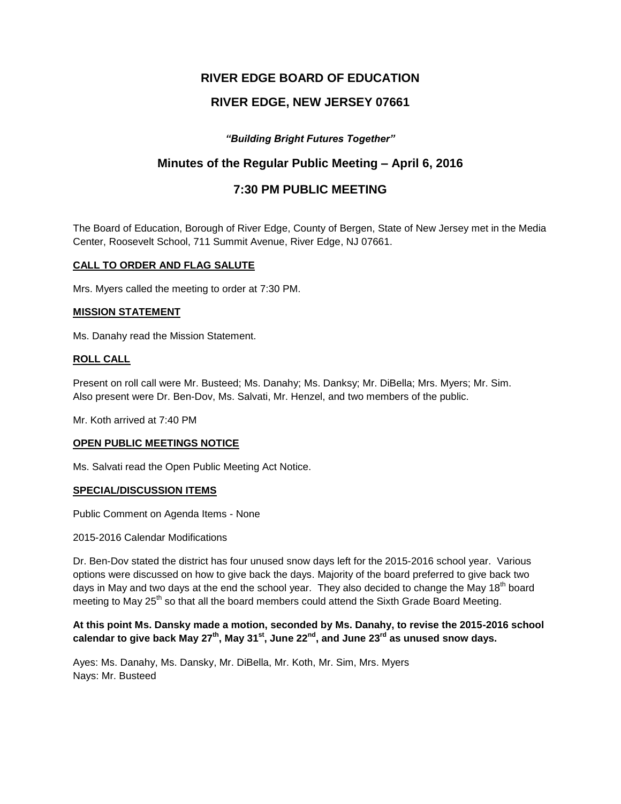# **RIVER EDGE BOARD OF EDUCATION**

# **RIVER EDGE, NEW JERSEY 07661**

# *"Building Bright Futures Together"*

# **Minutes of the Regular Public Meeting – April 6, 2016**

# **7:30 PM PUBLIC MEETING**

The Board of Education, Borough of River Edge, County of Bergen, State of New Jersey met in the Media Center, Roosevelt School, 711 Summit Avenue, River Edge, NJ 07661.

## **CALL TO ORDER AND FLAG SALUTE**

Mrs. Myers called the meeting to order at 7:30 PM.

# **MISSION STATEMENT**

Ms. Danahy read the Mission Statement.

## **ROLL CALL**

Present on roll call were Mr. Busteed; Ms. Danahy; Ms. Danksy; Mr. DiBella; Mrs. Myers; Mr. Sim. Also present were Dr. Ben-Dov, Ms. Salvati, Mr. Henzel, and two members of the public.

Mr. Koth arrived at 7:40 PM

#### **OPEN PUBLIC MEETINGS NOTICE**

Ms. Salvati read the Open Public Meeting Act Notice.

# **SPECIAL/DISCUSSION ITEMS**

Public Comment on Agenda Items - None

#### 2015-2016 Calendar Modifications

Dr. Ben-Dov stated the district has four unused snow days left for the 2015-2016 school year. Various options were discussed on how to give back the days. Majority of the board preferred to give back two days in May and two days at the end the school year. They also decided to change the May 18<sup>th</sup> board meeting to May 25<sup>th</sup> so that all the board members could attend the Sixth Grade Board Meeting.

## **At this point Ms. Dansky made a motion, seconded by Ms. Danahy, to revise the 2015-2016 school calendar to give back May 27th, May 31st, June 22nd, and June 23rd as unused snow days.**

Ayes: Ms. Danahy, Ms. Dansky, Mr. DiBella, Mr. Koth, Mr. Sim, Mrs. Myers Nays: Mr. Busteed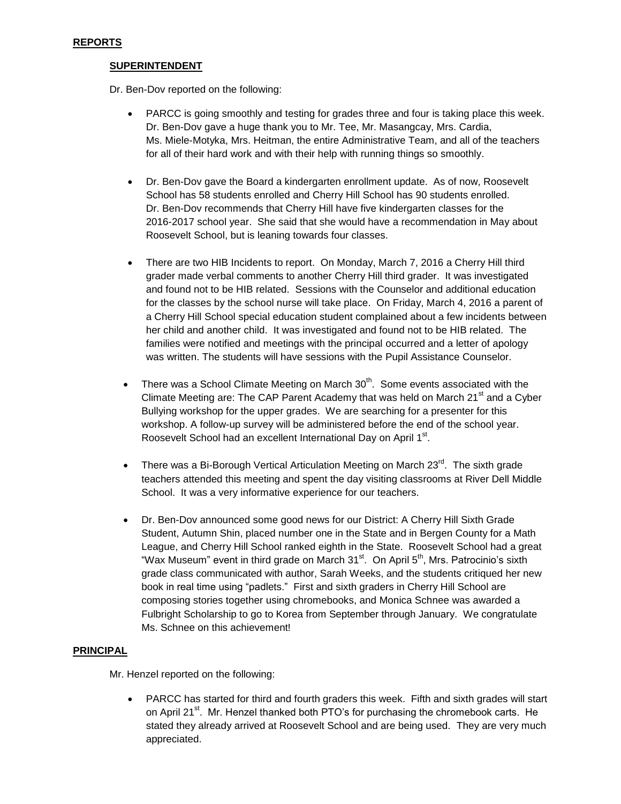# **SUPERINTENDENT**

Dr. Ben-Dov reported on the following:

- PARCC is going smoothly and testing for grades three and four is taking place this week. Dr. Ben-Dov gave a huge thank you to Mr. Tee, Mr. Masangcay, Mrs. Cardia, Ms. Miele-Motyka, Mrs. Heitman, the entire Administrative Team, and all of the teachers for all of their hard work and with their help with running things so smoothly.
- Dr. Ben-Dov gave the Board a kindergarten enrollment update. As of now, Roosevelt School has 58 students enrolled and Cherry Hill School has 90 students enrolled. Dr. Ben-Dov recommends that Cherry Hill have five kindergarten classes for the 2016-2017 school year. She said that she would have a recommendation in May about Roosevelt School, but is leaning towards four classes.
- There are two HIB Incidents to report. On Monday, March 7, 2016 a Cherry Hill third grader made verbal comments to another Cherry Hill third grader. It was investigated and found not to be HIB related. Sessions with the Counselor and additional education for the classes by the school nurse will take place. On Friday, March 4, 2016 a parent of a Cherry Hill School special education student complained about a few incidents between her child and another child. It was investigated and found not to be HIB related. The families were notified and meetings with the principal occurred and a letter of apology was written. The students will have sessions with the Pupil Assistance Counselor.
- There was a School Climate Meeting on March  $30<sup>th</sup>$ . Some events associated with the Climate Meeting are: The CAP Parent Academy that was held on March  $21<sup>st</sup>$  and a Cyber Bullying workshop for the upper grades. We are searching for a presenter for this workshop. A follow-up survey will be administered before the end of the school year. Roosevelt School had an excellent International Day on April 1st.
- There was a Bi-Borough Vertical Articulation Meeting on March  $23^{\text{rd}}$ . The sixth grade teachers attended this meeting and spent the day visiting classrooms at River Dell Middle School. It was a very informative experience for our teachers.
- Dr. Ben-Dov announced some good news for our District: A Cherry Hill Sixth Grade Student, Autumn Shin, placed number one in the State and in Bergen County for a Math League, and Cherry Hill School ranked eighth in the State. Roosevelt School had a great "Wax Museum" event in third grade on March 31 $^{\text{st}}$ . On April 5<sup>th</sup>, Mrs. Patrocinio's sixth grade class communicated with author, Sarah Weeks, and the students critiqued her new book in real time using "padlets." First and sixth graders in Cherry Hill School are composing stories together using chromebooks, and Monica Schnee was awarded a Fulbright Scholarship to go to Korea from September through January. We congratulate Ms. Schnee on this achievement!

# **PRINCIPAL**

Mr. Henzel reported on the following:

• PARCC has started for third and fourth graders this week. Fifth and sixth grades will start on April 21 $\mathrm{^{st}}$ . Mr. Henzel thanked both PTO's for purchasing the chromebook carts. He stated they already arrived at Roosevelt School and are being used. They are very much appreciated.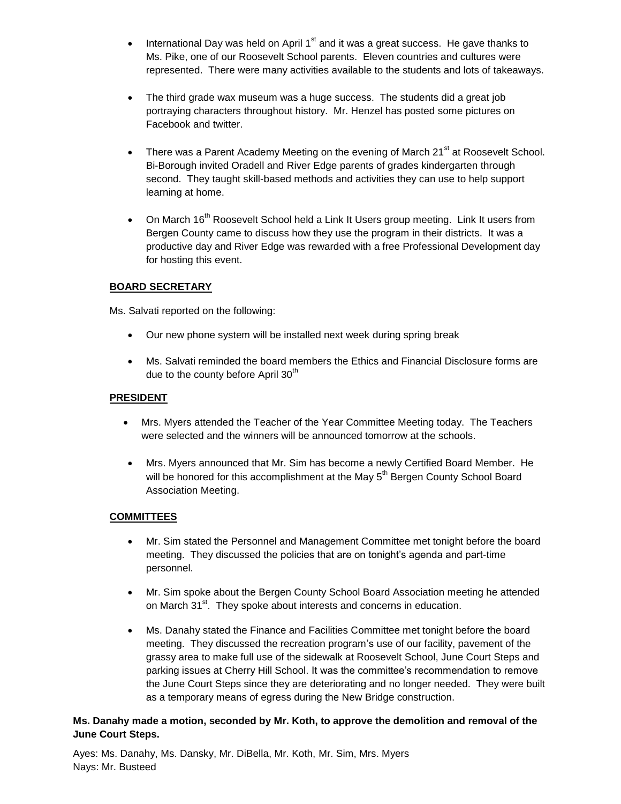- $\bullet$  International Day was held on April 1<sup>st</sup> and it was a great success. He gave thanks to Ms. Pike, one of our Roosevelt School parents. Eleven countries and cultures were represented. There were many activities available to the students and lots of takeaways.
- The third grade wax museum was a huge success. The students did a great job portraying characters throughout history. Mr. Henzel has posted some pictures on Facebook and twitter.
- There was a Parent Academy Meeting on the evening of March 21 $^{\text{st}}$  at Roosevelt School. Bi-Borough invited Oradell and River Edge parents of grades kindergarten through second. They taught skill-based methods and activities they can use to help support learning at home.
- On March 16<sup>th</sup> Roosevelt School held a Link It Users group meeting. Link It users from Bergen County came to discuss how they use the program in their districts. It was a productive day and River Edge was rewarded with a free Professional Development day for hosting this event.

# **BOARD SECRETARY**

Ms. Salvati reported on the following:

- Our new phone system will be installed next week during spring break
- Ms. Salvati reminded the board members the Ethics and Financial Disclosure forms are due to the county before April 30<sup>th</sup>

# **PRESIDENT**

- Mrs. Myers attended the Teacher of the Year Committee Meeting today. The Teachers were selected and the winners will be announced tomorrow at the schools.
- Mrs. Myers announced that Mr. Sim has become a newly Certified Board Member. He will be honored for this accomplishment at the May 5<sup>th</sup> Bergen County School Board Association Meeting.

# **COMMITTEES**

- Mr. Sim stated the Personnel and Management Committee met tonight before the board meeting. They discussed the policies that are on tonight's agenda and part-time personnel.
- Mr. Sim spoke about the Bergen County School Board Association meeting he attended on March 31<sup>st</sup>. They spoke about interests and concerns in education.
- Ms. Danahy stated the Finance and Facilities Committee met tonight before the board meeting. They discussed the recreation program's use of our facility, pavement of the grassy area to make full use of the sidewalk at Roosevelt School, June Court Steps and parking issues at Cherry Hill School. It was the committee's recommendation to remove the June Court Steps since they are deteriorating and no longer needed. They were built as a temporary means of egress during the New Bridge construction.

# **Ms. Danahy made a motion, seconded by Mr. Koth, to approve the demolition and removal of the June Court Steps.**

Ayes: Ms. Danahy, Ms. Dansky, Mr. DiBella, Mr. Koth, Mr. Sim, Mrs. Myers Nays: Mr. Busteed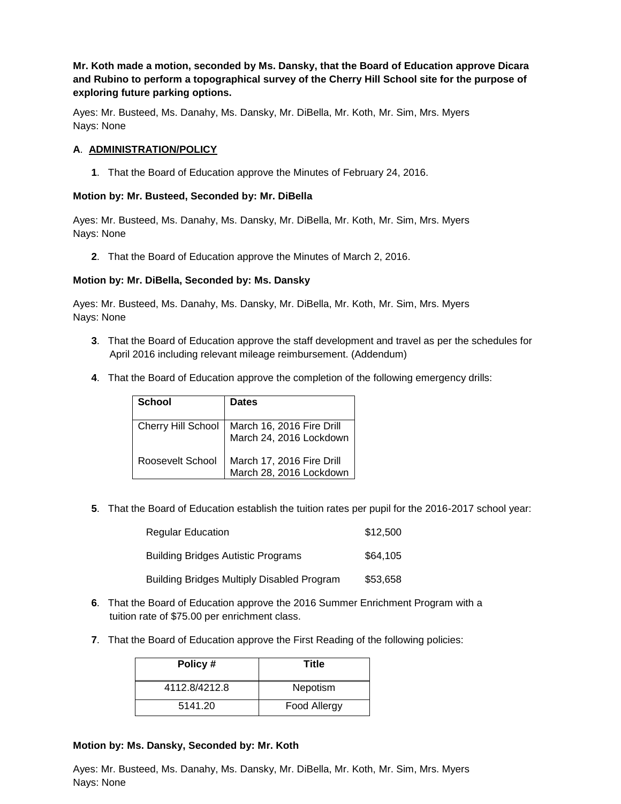**Mr. Koth made a motion, seconded by Ms. Dansky, that the Board of Education approve Dicara and Rubino to perform a topographical survey of the Cherry Hill School site for the purpose of exploring future parking options.**

Ayes: Mr. Busteed, Ms. Danahy, Ms. Dansky, Mr. DiBella, Mr. Koth, Mr. Sim, Mrs. Myers Nays: None

## **A**. **ADMINISTRATION/POLICY**

**1**. That the Board of Education approve the Minutes of February 24, 2016.

## **Motion by: Mr. Busteed, Seconded by: Mr. DiBella**

Ayes: Mr. Busteed, Ms. Danahy, Ms. Dansky, Mr. DiBella, Mr. Koth, Mr. Sim, Mrs. Myers Nays: None

**2**. That the Board of Education approve the Minutes of March 2, 2016.

## **Motion by: Mr. DiBella, Seconded by: Ms. Dansky**

Ayes: Mr. Busteed, Ms. Danahy, Ms. Dansky, Mr. DiBella, Mr. Koth, Mr. Sim, Mrs. Myers Nays: None

- **3**. That the Board of Education approve the staff development and travel as per the schedules for April 2016 including relevant mileage reimbursement. (Addendum)
- **4**. That the Board of Education approve the completion of the following emergency drills:

| School                    | <b>Dates</b>                                         |
|---------------------------|------------------------------------------------------|
| <b>Cherry Hill School</b> | March 16, 2016 Fire Drill<br>March 24, 2016 Lockdown |
| Roosevelt School          | March 17, 2016 Fire Drill<br>March 28, 2016 Lockdown |

**5**. That the Board of Education establish the tuition rates per pupil for the 2016-2017 school year:

| <b>Regular Education</b>                          | \$12,500 |
|---------------------------------------------------|----------|
| <b>Building Bridges Autistic Programs</b>         | \$64,105 |
| <b>Building Bridges Multiply Disabled Program</b> | \$53,658 |

- **6**. That the Board of Education approve the 2016 Summer Enrichment Program with a tuition rate of \$75.00 per enrichment class.
- **7**. That the Board of Education approve the First Reading of the following policies:

| Policy#       | Title        |
|---------------|--------------|
| 4112.8/4212.8 | Nepotism     |
| 5141.20       | Food Allergy |

#### **Motion by: Ms. Dansky, Seconded by: Mr. Koth**

Ayes: Mr. Busteed, Ms. Danahy, Ms. Dansky, Mr. DiBella, Mr. Koth, Mr. Sim, Mrs. Myers Nays: None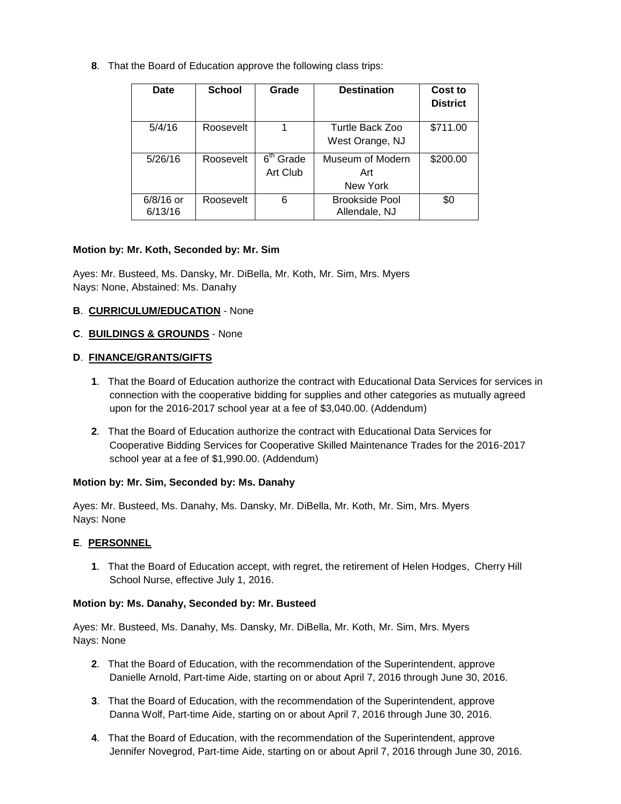**8**. That the Board of Education approve the following class trips:

| Date                   | <b>School</b> | Grade                                          | <b>Destination</b>                     | Cost to<br><b>District</b> |
|------------------------|---------------|------------------------------------------------|----------------------------------------|----------------------------|
| 5/4/16                 | Roosevelt     |                                                | Turtle Back Zoo<br>West Orange, NJ     | \$711.00                   |
| 5/26/16                | Roosevelt     | $\overline{6}$ <sup>th</sup> Grade<br>Art Club | Museum of Modern<br>Art<br>New York    | \$200.00                   |
| $6/8/16$ or<br>6/13/16 | Roosevelt     | 6                                              | <b>Brookside Pool</b><br>Allendale, NJ | \$0                        |

# **Motion by: Mr. Koth, Seconded by: Mr. Sim**

Ayes: Mr. Busteed, Ms. Dansky, Mr. DiBella, Mr. Koth, Mr. Sim, Mrs. Myers Nays: None, Abstained: Ms. Danahy

# **B**. **CURRICULUM/EDUCATION** - None

# **C**. **BUILDINGS & GROUNDS** - None

# **D**. **FINANCE/GRANTS/GIFTS**

- **1**. That the Board of Education authorize the contract with Educational Data Services for services in connection with the cooperative bidding for supplies and other categories as mutually agreed upon for the 2016-2017 school year at a fee of \$3,040.00. (Addendum)
- **2**. That the Board of Education authorize the contract with Educational Data Services for Cooperative Bidding Services for Cooperative Skilled Maintenance Trades for the 2016-2017 school year at a fee of \$1,990.00. (Addendum)

# **Motion by: Mr. Sim, Seconded by: Ms. Danahy**

Ayes: Mr. Busteed, Ms. Danahy, Ms. Dansky, Mr. DiBella, Mr. Koth, Mr. Sim, Mrs. Myers Nays: None

# **E**. **PERSONNEL**

**1**. That the Board of Education accept, with regret, the retirement of Helen Hodges, Cherry Hill School Nurse, effective July 1, 2016.

# **Motion by: Ms. Danahy, Seconded by: Mr. Busteed**

Ayes: Mr. Busteed, Ms. Danahy, Ms. Dansky, Mr. DiBella, Mr. Koth, Mr. Sim, Mrs. Myers Nays: None

- **2**. That the Board of Education, with the recommendation of the Superintendent, approve Danielle Arnold, Part-time Aide, starting on or about April 7, 2016 through June 30, 2016.
- **3**. That the Board of Education, with the recommendation of the Superintendent, approve Danna Wolf, Part-time Aide, starting on or about April 7, 2016 through June 30, 2016.
- **4**. That the Board of Education, with the recommendation of the Superintendent, approve Jennifer Novegrod, Part-time Aide, starting on or about April 7, 2016 through June 30, 2016.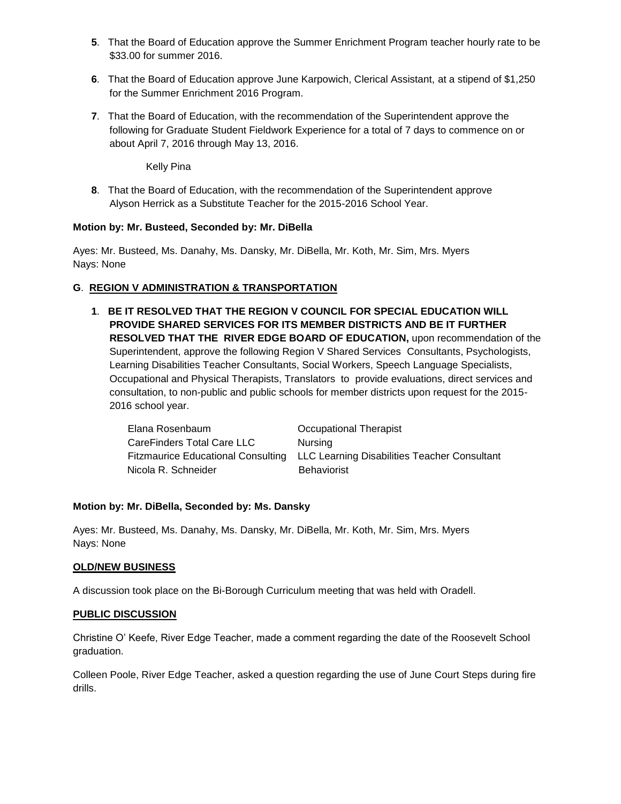- **5**. That the Board of Education approve the Summer Enrichment Program teacher hourly rate to be \$33.00 for summer 2016.
- **6**. That the Board of Education approve June Karpowich, Clerical Assistant, at a stipend of \$1,250 for the Summer Enrichment 2016 Program.
- **7**. That the Board of Education, with the recommendation of the Superintendent approve the following for Graduate Student Fieldwork Experience for a total of 7 days to commence on or about April 7, 2016 through May 13, 2016.

Kelly Pina

**8**. That the Board of Education, with the recommendation of the Superintendent approve Alyson Herrick as a Substitute Teacher for the 2015-2016 School Year.

# **Motion by: Mr. Busteed, Seconded by: Mr. DiBella**

Ayes: Mr. Busteed, Ms. Danahy, Ms. Dansky, Mr. DiBella, Mr. Koth, Mr. Sim, Mrs. Myers Nays: None

# **G**. **REGION V ADMINISTRATION & TRANSPORTATION**

**1**. **BE IT RESOLVED THAT THE REGION V COUNCIL FOR SPECIAL EDUCATION WILL PROVIDE SHARED SERVICES FOR ITS MEMBER DISTRICTS AND BE IT FURTHER RESOLVED THAT THE RIVER EDGE BOARD OF EDUCATION,** upon recommendation of the Superintendent, approve the following Region V Shared Services Consultants, Psychologists, Learning Disabilities Teacher Consultants, Social Workers, Speech Language Specialists, Occupational and Physical Therapists, Translators to provide evaluations, direct services and consultation, to non-public and public schools for member districts upon request for the 2015- 2016 school year.

| Elana Rosenbaum            | Occupational Therapist                                                          |
|----------------------------|---------------------------------------------------------------------------------|
| CareFinders Total Care LLC | Nursing                                                                         |
|                            | Fitzmaurice Educational Consulting LLC Learning Disabilities Teacher Consultant |
| Nicola R. Schneider        | <b>Behaviorist</b>                                                              |

# **Motion by: Mr. DiBella, Seconded by: Ms. Dansky**

Ayes: Mr. Busteed, Ms. Danahy, Ms. Dansky, Mr. DiBella, Mr. Koth, Mr. Sim, Mrs. Myers Nays: None

# **OLD/NEW BUSINESS**

A discussion took place on the Bi-Borough Curriculum meeting that was held with Oradell.

#### **PUBLIC DISCUSSION**

Christine O' Keefe, River Edge Teacher, made a comment regarding the date of the Roosevelt School graduation.

Colleen Poole, River Edge Teacher, asked a question regarding the use of June Court Steps during fire drills.